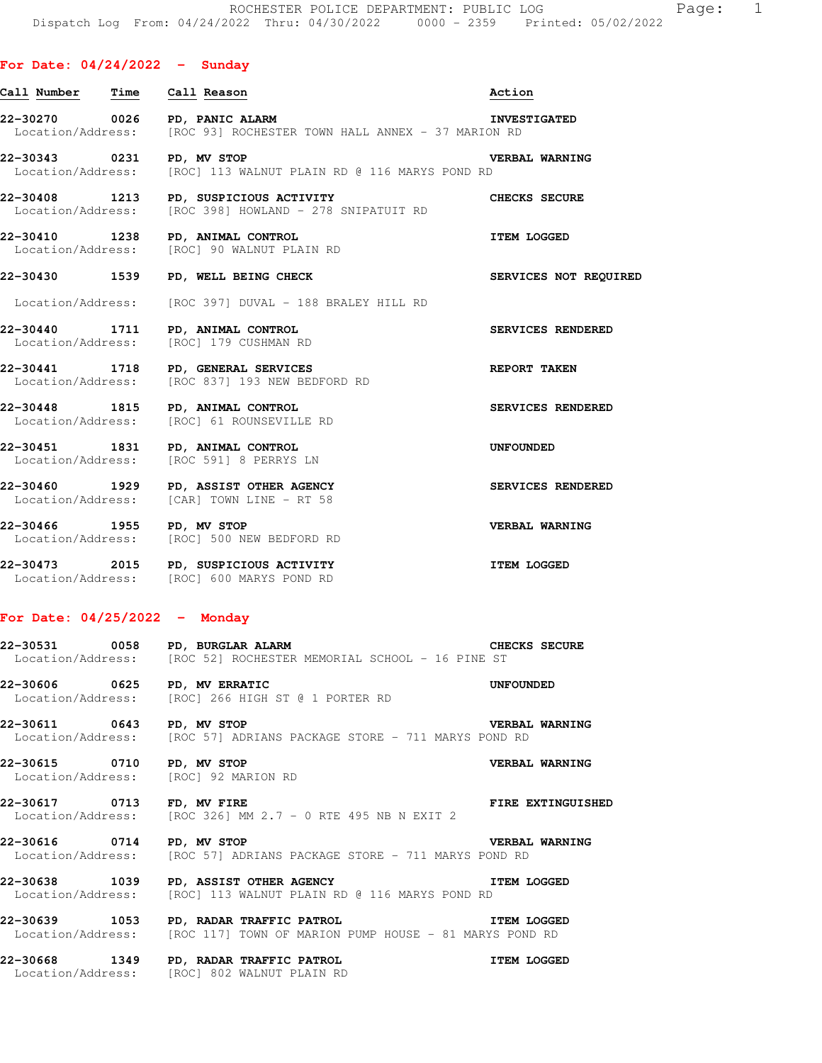### **For Date: 04/24/2022 - Sunday**

| Call Number Time Call Reason<br>22-30270 0026 PD, PANIC ALARM<br>Location/Address: [ROC 93] ROCHESTER TOWN HALL ANNEX - 37 MARION RD<br>22-30343 0231 PD, MV STOP<br>Location/Address: [ROC] 113 WALNUT PLAIN RD @ 116 MARYS POND RD | Action<br><b>INVESTIGATED</b><br><b>VERBAL WARNING</b><br><b>CHECKS SECURE</b> |
|--------------------------------------------------------------------------------------------------------------------------------------------------------------------------------------------------------------------------------------|--------------------------------------------------------------------------------|
|                                                                                                                                                                                                                                      |                                                                                |
|                                                                                                                                                                                                                                      |                                                                                |
|                                                                                                                                                                                                                                      |                                                                                |
| 22-30408 1213 PD, SUSPICIOUS ACTIVITY<br>Location/Address: [ROC 398] HOWLAND - 278 SNIPATUIT RD                                                                                                                                      |                                                                                |
| 22-30410 1238 PD, ANIMAL CONTROL<br>Location/Address: [ROC] 90 WALNUT PLAIN RD                                                                                                                                                       | <b>ITEM LOGGED</b>                                                             |
| 22-30430 1539<br>PD, WELL BEING CHECK                                                                                                                                                                                                | SERVICES NOT REQUIRED                                                          |
| Location/Address: [ROC 397] DUVAL - 188 BRALEY HILL RD                                                                                                                                                                               |                                                                                |
| 22-30440 1711 PD, ANIMAL CONTROL<br>Location/Address: [ROC] 179 CUSHMAN RD                                                                                                                                                           | SERVICES RENDERED                                                              |
| 22-30441 1718 PD, GENERAL SERVICES<br>Location/Address: [ROC 837] 193 NEW BEDFORD RD                                                                                                                                                 | <b>REPORT TAKEN</b>                                                            |
| 22-30448 1815 PD, ANIMAL CONTROL<br>Location/Address: [ROC] 61 ROUNSEVILLE RD                                                                                                                                                        | SERVICES RENDERED                                                              |
| 22-30451 1831 PD, ANIMAL CONTROL<br>Location/Address: [ROC 591] 8 PERRYS LN                                                                                                                                                          | UNFOUNDED                                                                      |
| 22-30460 1929 PD, ASSIST OTHER AGENCY<br>Location/Address: [CAR] TOWN LINE - RT 58                                                                                                                                                   | SERVICES RENDERED                                                              |
| 22-30466 1955 PD, MV STOP<br>Location/Address: [ROC] 500 NEW BEDFORD RD                                                                                                                                                              | VERBAL WARNING                                                                 |
| 22-30473 2015 PD, SUSPICIOUS ACTIVITY<br>Location/Address: [ROC] 600 MARYS POND RD                                                                                                                                                   | <b>ITEM LOGGED</b>                                                             |

#### **For Date: 04/25/2022 - Monday**

| 22-30531          | 0058 PD, BURGLAR ALARM |                                                 |  |  | CHECKS SECURE |  |
|-------------------|------------------------|-------------------------------------------------|--|--|---------------|--|
| Location/Address: |                        | [ROC 52] ROCHESTER MEMORIAL SCHOOL - 16 PINE ST |  |  |               |  |

**22-30606 0625 PD, MV ERRATIC UNFOUNDED**  Location/Address: [ROC] 266 HIGH ST @ 1 PORTER RD

**22-30611 0643 PD, MV STOP VERBAL WARNING**  Location/Address: [ROC 57] ADRIANS PACKAGE STORE - 711 MARYS POND RD

**22-30615 0710 PD, MV STOP VERBAL WARNING**  Location/Address: [ROC] 92 MARION RD

**22-30617 0713 FD, MV FIRE FIRE EXTINGUISHED**  Location/Address: [ROC 326] MM  $2.7 - 0$  RTE 495 NB N EXIT 2

**22-30616 0714 PD, MV STOP CONCRETER STORE - 711 MARYS POND RD Location/Address:** [ROC 57] ADRIANS PACKAGE STORE - 711 MARYS POND RD [ROC 57] ADRIANS PACKAGE STORE - 711 MARYS POND RD

**22-30638 1039 PD, ASSIST OTHER AGENCY ITEM LOGGED**  Location/Address: [ROC] 113 WALNUT PLAIN RD @ 116 MARYS POND RD

**22-30639 1053 PD, RADAR TRAFFIC PATROL ITEM LOGGED**  Location/Address: [ROC 117] TOWN OF MARION PUMP HOUSE - 81 MARYS POND RD

**22-30668 1349 PD, RADAR TRAFFIC PATROL ITEM LOGGED**  Location/Address: [ROC] 802 WALNUT PLAIN RD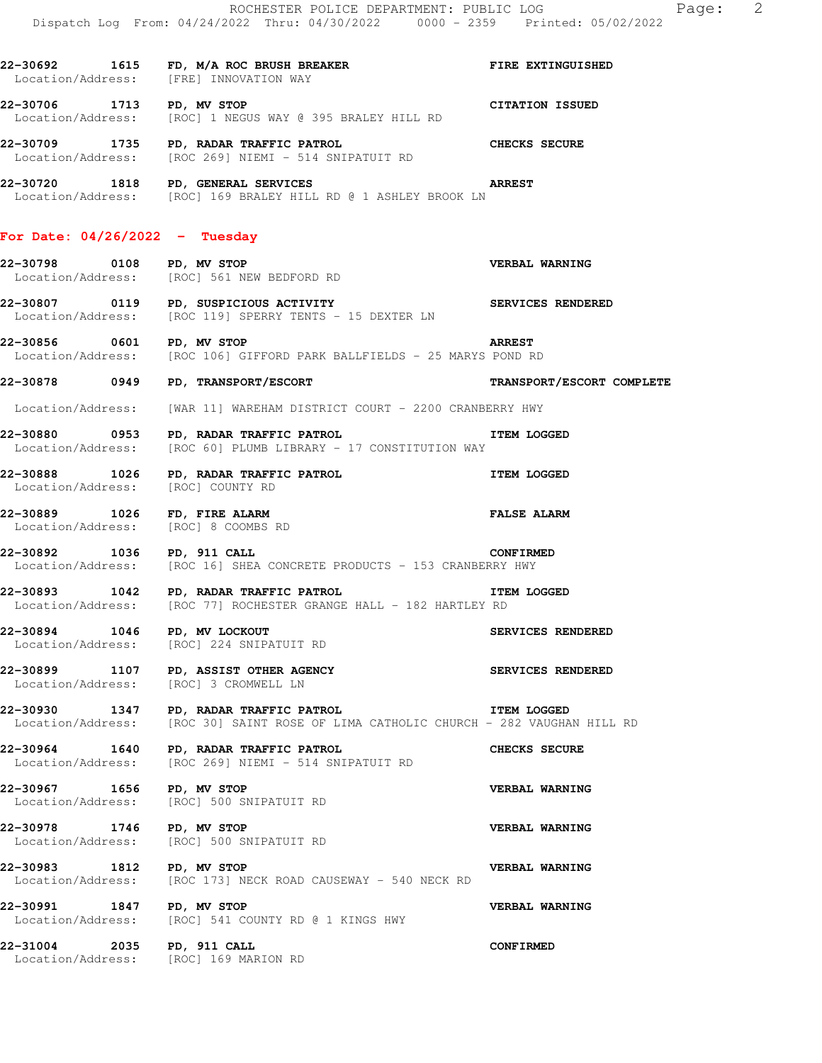|                                                                     | ROCHESTER POLICE DEPARTMENT: PUBLIC LOG<br>Dispatch Log From: 04/24/2022 Thru: 04/30/2022 0000 - 2359 Printed: 05/02/2022          | Page: 2                   |  |
|---------------------------------------------------------------------|------------------------------------------------------------------------------------------------------------------------------------|---------------------------|--|
|                                                                     | 22-30692 1615 FD, M/A ROC BRUSH BREAKER FIRE EXTINGUISHED<br>Location/Address: [FRE] INNOVATION WAY                                |                           |  |
| 22-30706 1713 PD, MV STOP                                           | Location/Address: [ROC] 1 NEGUS WAY @ 395 BRALEY HILL RD                                                                           | CITATION ISSUED           |  |
|                                                                     | 22-30709 1735 PD, RADAR TRAFFIC PATROL<br>Location/Address: [ROC 269] NIEMI - 514 SNIPATUIT RD                                     | <b>CHECKS SECURE</b>      |  |
|                                                                     | 22-30720 1818 PD, GENERAL SERVICES<br><b>Example 2018</b> ARREST<br>Location/Address: [ROC] 169 BRALEY HILL RD @ 1 ASHLEY BROOK LN |                           |  |
| For Date: 04/26/2022 - Tuesday                                      |                                                                                                                                    |                           |  |
| 22-30798 0108 PD, MV STOP                                           | Location/Address: [ROC] 561 NEW BEDFORD RD                                                                                         | <b>VERBAL WARNING</b>     |  |
|                                                                     | 22-30807 0119 PD, SUSPICIOUS ACTIVITY<br>Location/Address: [ROC 119] SPERRY TENTS - 15 DEXTER LN                                   |                           |  |
| 22-30856 0601 PD, MV STOP                                           | <b>Example 2018</b> ARREST<br>Location/Address: [ROC 106] GIFFORD PARK BALLFIELDS - 25 MARYS POND RD                               |                           |  |
|                                                                     | 22-30878 0949 PD, TRANSPORT/ESCORT                                                                                                 | TRANSPORT/ESCORT COMPLETE |  |
| Location/Address:                                                   | [WAR 11] WAREHAM DISTRICT COURT - 2200 CRANBERRY HWY                                                                               |                           |  |
| Location/Address:                                                   | 22-30880 0953 PD, RADAR TRAFFIC PATROL CONTROL TTEM LOGGED<br>[ROC 60] PLUMB LIBRARY - 17 CONSTITUTION WAY                         |                           |  |
| Location/Address:                                                   | 22-30888 1026 PD, RADAR TRAFFIC PATROL NET REM LOGGED<br>[ROC] COUNTY RD                                                           |                           |  |
| 22-30889 1026 FD, FIRE ALARM<br>Location/Address: [ROC] 8 COOMBS RD |                                                                                                                                    | <b>FALSE ALARM</b>        |  |
| 22-30892 1036 PD, 911 CALL                                          | Location/Address: [ROC 16] SHEA CONCRETE PRODUCTS - 153 CRANBERRY HWY                                                              | <b>CONFIRMED</b>          |  |
|                                                                     | 22-30893 1042 PD, RADAR TRAFFIC PATROL<br>Location/Address: [ROC 77] ROCHESTER GRANGE HALL - 182 HARTLEY RD                        | <b>ITEM LOGGED</b>        |  |
| 22-30894 1046 PD, MV LOCKOUT                                        | Location/Address: [ROC] 224 SNIPATUIT RD                                                                                           | SERVICES RENDERED         |  |
| Location/Address:                                                   | 22-30899 1107 PD, ASSIST OTHER AGENCY<br>[ROC] 3 CROMWELL LN                                                                       | SERVICES RENDERED         |  |
| Location/Address:                                                   | 22-30930 1347 PD, RADAR TRAFFIC PATROL<br>[ROC 30] SAINT ROSE OF LIMA CATHOLIC CHURCH - 282 VAUGHAN HILL RD                        | <b>ITEM LOGGED</b>        |  |
| 22-30964 1640<br>Location/Address:                                  | PD, RADAR TRAFFIC PATROL<br>[ROC 269] NIEMI - 514 SNIPATUIT RD                                                                     | CHECKS SECURE             |  |
| 22-30967 1656 PD, MV STOP<br>Location/Address:                      | [ROC] 500 SNIPATUIT RD                                                                                                             | VERBAL WARNING            |  |
| 22-30978 1746 PD, MV STOP                                           | Location/Address: [ROC] 500 SNIPATUIT RD                                                                                           | <b>VERBAL WARNING</b>     |  |
| 22-30983 1812 PD, MV STOP                                           | Location/Address: [ROC 173] NECK ROAD CAUSEWAY - 540 NECK RD                                                                       | VERBAL WARNING            |  |
| 22-30991                                                            | 1847 PD, MV STOP<br>Location/Address: [ROC] 541 COUNTY RD @ 1 KINGS HWY                                                            | VERBAL WARNING            |  |
| 22-31004                                                            | 2035 PD, 911 CALL                                                                                                                  | <b>CONFIRMED</b>          |  |

Location/Address: [ROC] 169 MARION RD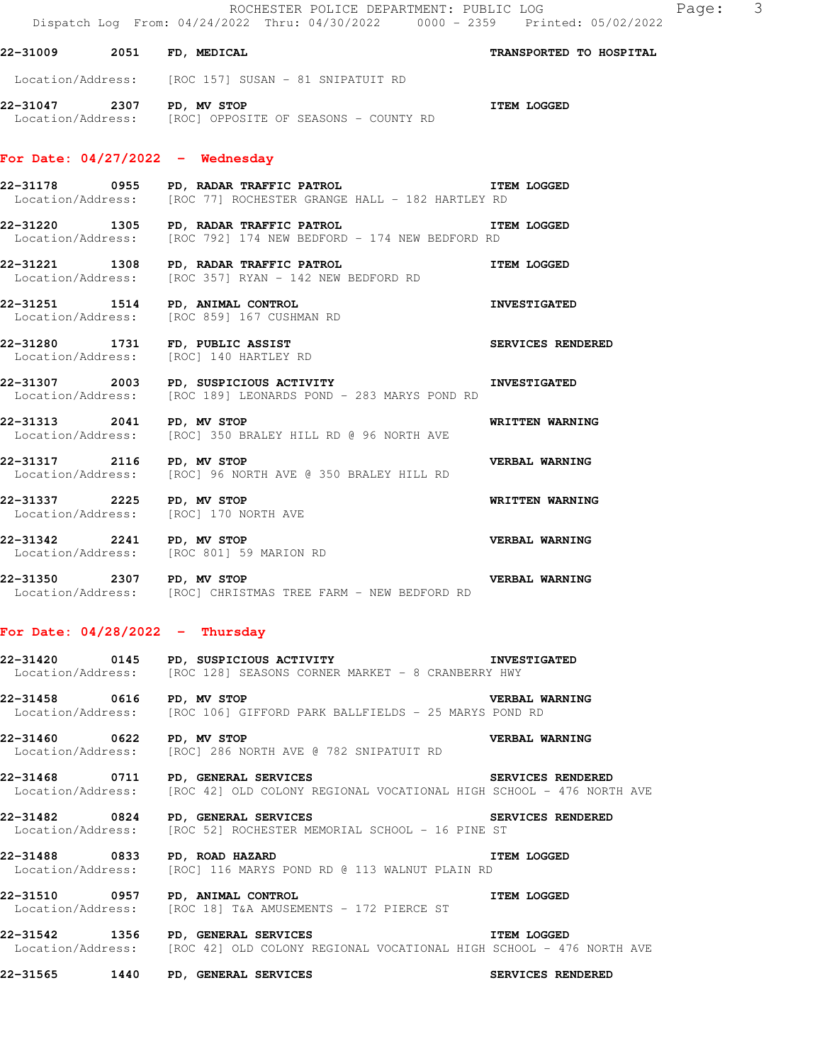### **22-31009 2051 FD, MEDICAL TRANSPORTED TO HOSPITAL**

Location/Address: [ROC 157] SUSAN - 81 SNIPATUIT RD

**22-31047 2307 PD, MV STOP ITEM LOGGED**  Location/Address: [ROC] OPPOSITE OF SEASONS - COUNTY RD

### **For Date: 04/27/2022 - Wednesday**

**22-31178 0955 PD, RADAR TRAFFIC PATROL ITEM LOGGED**  Location/Address: [ROC 77] ROCHESTER GRANGE HALL - 182 HARTLEY RD

**22-31220 1305 PD, RADAR TRAFFIC PATROL ITEM LOGGED**  Location/Address: [ROC 792] 174 NEW BEDFORD - 174 NEW BEDFORD RD

**22-31221 1308 PD, RADAR TRAFFIC PATROL ITEM LOGGED**  Location/Address: [ROC 357] RYAN - 142 NEW BEDFORD RD

**22-31251 1514 PD, ANIMAL CONTROL INVESTIGATED**  Location/Address: [ROC 859] 167 CUSHMAN RD

**22-31280 1731 FD, PUBLIC ASSIST SERVICES RENDERED**  Location/Address: [ROC] 140 HARTLEY RD

**22-31307 2003 PD, SUSPICIOUS ACTIVITY INVESTIGATED**  Location/Address: [ROC 189] LEONARDS POND - 283 MARYS POND RD

**22-31313 2041 PD, MV STOP WRITTEN WARNING**  Location/Address: [ROC] 350 BRALEY HILL RD @ 96 NORTH AVE

**22-31317 2116 PD, MV STOP VERBAL WARNING**  Location/Address: [ROC] 96 NORTH AVE @ 350 BRALEY HILL RD

**22-31337 2225 PD, MV STOP WRITTEN WARNING**  Location/Address: [ROC] 170 NORTH AVE

**22-31342 2241 PD, MV STOP CONSUMERT AND READM VERBAL WARNING**<br>
Location/Address: [ROC 801] 59 MARION RD [ROC 801] 59 MARION RD

**22-31350 2307 PD, MV STOP VERBAL WARNING**  Location/Address: [ROC] CHRISTMAS TREE FARM - NEW BEDFORD RD

## **For Date: 04/28/2022 - Thursday**

**22-31420 0145 PD, SUSPICIOUS ACTIVITY INVESTIGATED**  Location/Address: [ROC 128] SEASONS CORNER MARKET - 8 CRANBERRY HWY

**22-31458 0616 PD, MV STOP VERBAL WARNING**  Location/Address: [ROC 106] GIFFORD PARK BALLFIELDS - 25 MARYS POND RD

**22-31460 0622 PD, MV STOP CONSERVERBAL WARNING**<br>Location/Address: [ROC] 286 NORTH AVE @ 782 SNIPATUIT RD [ROC] 286 NORTH AVE @ 782 SNIPATUIT RD

**22-31468 0711 PD, GENERAL SERVICES SERVICES RENDERED**  Location/Address: [ROC 42] OLD COLONY REGIONAL VOCATIONAL HIGH SCHOOL - 476 NORTH AVE

**22-31482 0824 PD, GENERAL SERVICES SERVICES RENDERED**  Location/Address: [ROC 52] ROCHESTER MEMORIAL SCHOOL - 16 PINE ST

**22-31488 0833 PD, ROAD HAZARD ITEM INCOGED**<br>Location/Address: [ROC] 116 MARYS POND RD @ 113 WALNUT PLAIN RD [ROC] 116 MARYS POND RD @ 113 WALNUT PLAIN RD

**22-31510 0957 PD, ANIMAL CONTROL ITEM LOGGED**  [ROC 18] T&A AMUSEMENTS - 172 PIERCE ST

**22-31542 1356 PD, GENERAL SERVICES ITEM LOGGED**  Location/Address: [ROC 42] OLD COLONY REGIONAL VOCATIONAL HIGH SCHOOL - 476 NORTH AVE

**22-31565 1440 PD, GENERAL SERVICES SERVICES RENDERED**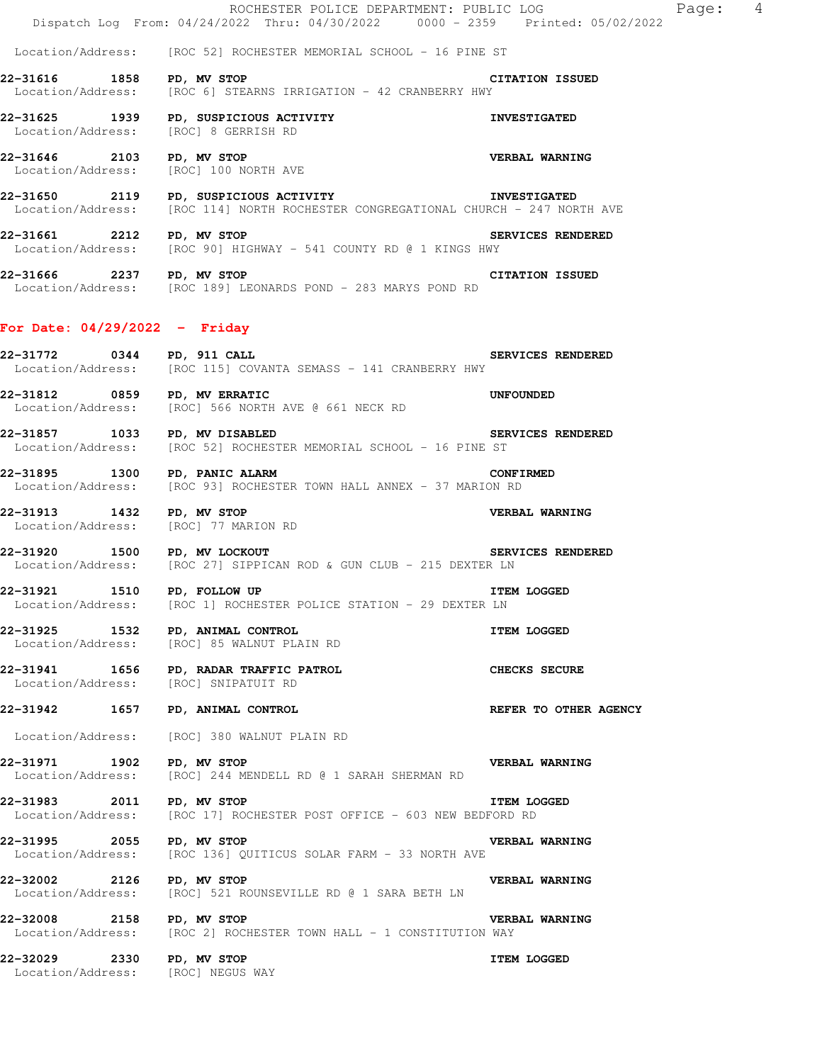ROCHESTER POLICE DEPARTMENT: PUBLIC LOG Page: 4 Dispatch Log From: 04/24/2022 Thru: 04/30/2022 0000 - 2359 Printed: 05/02/2022 Location/Address: [ROC 52] ROCHESTER MEMORIAL SCHOOL - 16 PINE ST **22-31616 1858 PD, MV STOP CITATION ISSUED**  Location/Address: [ROC 6] STEARNS IRRIGATION - 42 CRANBERRY HWY **22-31625 1939 PD, SUSPICIOUS ACTIVITY INVESTIGATED**  Location/Address: [ROC] 8 GERRISH RD **22-31646 2103 PD, MV STOP VERBAL WARNING**  Location/Address: [ROC] 100 NORTH AVE **22-31650 2119 PD, SUSPICIOUS ACTIVITY CONGREGATIONAL CHURCH - 247 NOR<br>Location/Address: [ROC 114] NORTH ROCHESTER CONGREGATIONAL CHURCH - 247 NOR** [ROC 114] NORTH ROCHESTER CONGREGATIONAL CHURCH - 247 NORTH AVE **22-31661 2212 PD, MV STOP SERVICES RENDERED**  Location/Address: [ROC 90] HIGHWAY - 541 COUNTY RD @ 1 KINGS HWY **22-31666 2237 PD, MV STOP CITATION ISSUED**  Location/Address: [ROC 189] LEONARDS POND - 283 MARYS POND RD **For Date: 04/29/2022 - Friday** 22-31772 0344 PD, 911 CALL **CALL SERVICES RENDERED** Location/Address: [ROC 115] COVANTA SEMASS - 141 CRANBERRY HWY **22-31812 0859 PD, MV ERRATIC** 661 NECK RD **UNFOUNDED** Location/Address: [ROC] 566 NORTH AVE @ 661 NECK RD [ROC] 566 NORTH AVE @ 661 NECK RD **22-31857 1033 PD, MV DISABLED SERVICES RENDERED**  Location/Address: [ROC 52] ROCHESTER MEMORIAL SCHOOL - 16 PINE ST **22-31895 1300 PD, PANIC ALARM CONFIRMED**  Location/Address: [ROC 93] ROCHESTER TOWN HALL ANNEX - 37 MARION RD **22-31913 1432 PD, MV STOP VERBAL WARNING**  Location/Address: [ROC] 77 MARION RD **22-31920 1500 PD, MV LOCKOUT SERVICES RENDERED**<br>Location/Address: [ROC 27] SIPPICAN ROD & GUN CLUB - 215 DEXTER LN [ROC 27] SIPPICAN ROD & GUN CLUB - 215 DEXTER LN **22-31921 1510 PD, FOLLOW UP ITEM LOGGED**  Location/Address: [ROC 1] ROCHESTER POLICE STATION - 29 DEXTER LN **22-31925 1532 PD, ANIMAL CONTROL ITEM LOGGED**  Location/Address: [ROC] 85 WALNUT PLAIN RD **22-31941 1656 PD, RADAR TRAFFIC PATROL CHECKS SECURE**  Location/Address: [ROC] SNIPATUIT RD **22-31942 1657 PD, ANIMAL CONTROL REFER TO OTHER AGENCY**  Location/Address: [ROC] 380 WALNUT PLAIN RD **22-31971 1902 PD, MV STOP VERBAL WARNING**  Location/Address: [ROC] 244 MENDELL RD @ 1 SARAH SHERMAN RD **22-31983 2011 PD, MV STOP ITEM LOGGED**  Location/Address: [ROC 17] ROCHESTER POST OFFICE - 603 NEW BEDFORD RD

**22-31995 2055 PD, MV STOP VERBAL WARNING**  Location/Address: [ROC 136] QUITICUS SOLAR FARM - 33 NORTH AVE

**22-32002 2126 PD, MV STOP CONCLU**SE RD @ 1 SARA BETH LN **VERBAL WARNING**<br>
Location/Address: [ROC] 521 ROUNSEVILLE RD @ 1 SARA BETH LN [ROC] 521 ROUNSEVILLE RD @ 1 SARA BETH LN

**22-32008 2158 PD, MV STOP**<br>Location/Address: [ROC 2] ROCHESTER TOWN HALL - 1 CONSTITUTION WAY [ROC 2] ROCHESTER TOWN HALL - 1 CONSTITUTION WAY

**22-32029 2330 PD, MV STOP ITEM LOGGED**  Location/Address: [ROC] NEGUS WAY